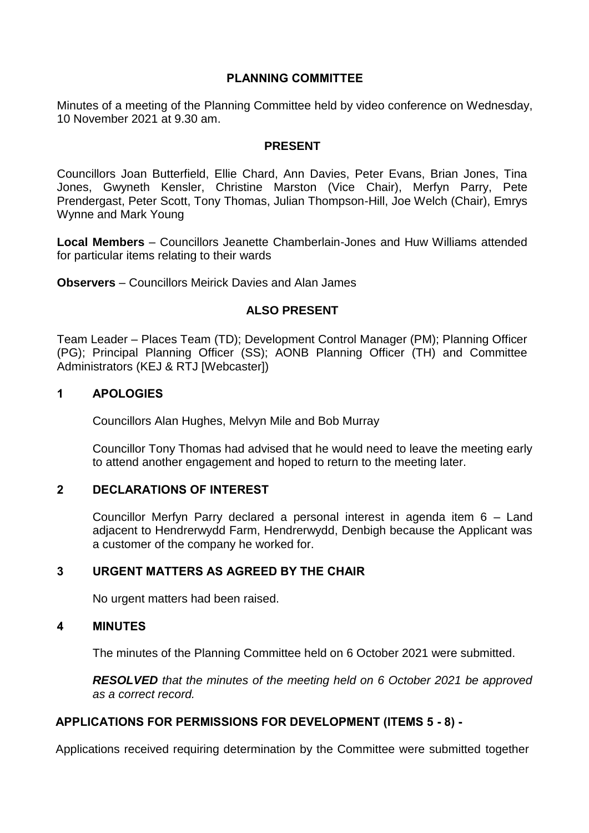## **PLANNING COMMITTEE**

Minutes of a meeting of the Planning Committee held by video conference on Wednesday, 10 November 2021 at 9.30 am.

## **PRESENT**

Councillors Joan Butterfield, Ellie Chard, Ann Davies, Peter Evans, Brian Jones, Tina Jones, Gwyneth Kensler, Christine Marston (Vice Chair), Merfyn Parry, Pete Prendergast, Peter Scott, Tony Thomas, Julian Thompson-Hill, Joe Welch (Chair), Emrys Wynne and Mark Young

**Local Members** – Councillors Jeanette Chamberlain-Jones and Huw Williams attended for particular items relating to their wards

**Observers** – Councillors Meirick Davies and Alan James

## **ALSO PRESENT**

Team Leader – Places Team (TD); Development Control Manager (PM); Planning Officer (PG); Principal Planning Officer (SS); AONB Planning Officer (TH) and Committee Administrators (KEJ & RTJ [Webcaster])

## **1 APOLOGIES**

Councillors Alan Hughes, Melvyn Mile and Bob Murray

Councillor Tony Thomas had advised that he would need to leave the meeting early to attend another engagement and hoped to return to the meeting later.

## **2 DECLARATIONS OF INTEREST**

Councillor Merfyn Parry declared a personal interest in agenda item 6 – Land adjacent to Hendrerwydd Farm, Hendrerwydd, Denbigh because the Applicant was a customer of the company he worked for.

## **3 URGENT MATTERS AS AGREED BY THE CHAIR**

No urgent matters had been raised.

## **4 MINUTES**

The minutes of the Planning Committee held on 6 October 2021 were submitted.

*RESOLVED that the minutes of the meeting held on 6 October 2021 be approved as a correct record.*

## **APPLICATIONS FOR PERMISSIONS FOR DEVELOPMENT (ITEMS 5 - 8) -**

Applications received requiring determination by the Committee were submitted together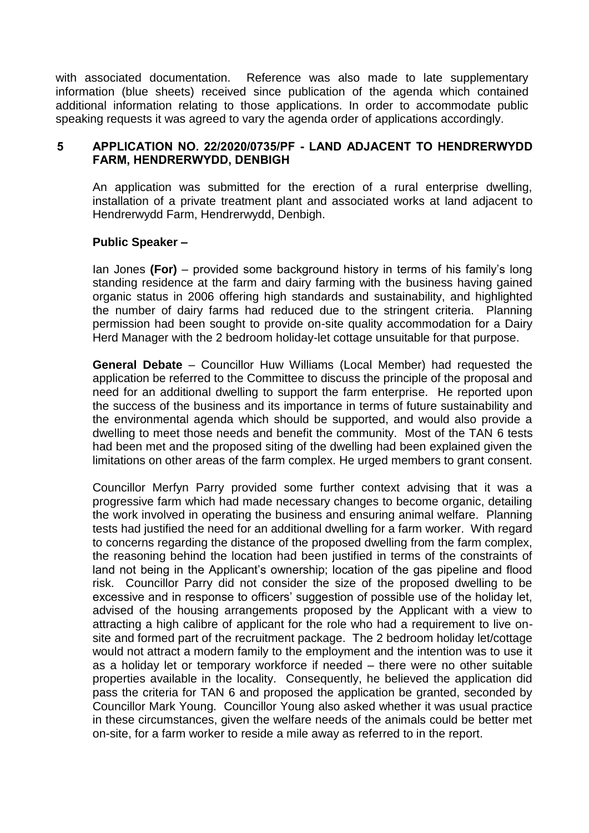with associated documentation. Reference was also made to late supplementary information (blue sheets) received since publication of the agenda which contained additional information relating to those applications. In order to accommodate public speaking requests it was agreed to vary the agenda order of applications accordingly.

## **5 APPLICATION NO. 22/2020/0735/PF - LAND ADJACENT TO HENDRERWYDD FARM, HENDRERWYDD, DENBIGH**

An application was submitted for the erection of a rural enterprise dwelling, installation of a private treatment plant and associated works at land adjacent to Hendrerwydd Farm, Hendrerwydd, Denbigh.

## **Public Speaker –**

Ian Jones **(For)** – provided some background history in terms of his family's long standing residence at the farm and dairy farming with the business having gained organic status in 2006 offering high standards and sustainability, and highlighted the number of dairy farms had reduced due to the stringent criteria. Planning permission had been sought to provide on-site quality accommodation for a Dairy Herd Manager with the 2 bedroom holiday-let cottage unsuitable for that purpose.

**General Debate** – Councillor Huw Williams (Local Member) had requested the application be referred to the Committee to discuss the principle of the proposal and need for an additional dwelling to support the farm enterprise. He reported upon the success of the business and its importance in terms of future sustainability and the environmental agenda which should be supported, and would also provide a dwelling to meet those needs and benefit the community. Most of the TAN 6 tests had been met and the proposed siting of the dwelling had been explained given the limitations on other areas of the farm complex. He urged members to grant consent.

Councillor Merfyn Parry provided some further context advising that it was a progressive farm which had made necessary changes to become organic, detailing the work involved in operating the business and ensuring animal welfare. Planning tests had justified the need for an additional dwelling for a farm worker. With regard to concerns regarding the distance of the proposed dwelling from the farm complex, the reasoning behind the location had been justified in terms of the constraints of land not being in the Applicant's ownership; location of the gas pipeline and flood risk. Councillor Parry did not consider the size of the proposed dwelling to be excessive and in response to officers' suggestion of possible use of the holiday let, advised of the housing arrangements proposed by the Applicant with a view to attracting a high calibre of applicant for the role who had a requirement to live onsite and formed part of the recruitment package. The 2 bedroom holiday let/cottage would not attract a modern family to the employment and the intention was to use it as a holiday let or temporary workforce if needed – there were no other suitable properties available in the locality. Consequently, he believed the application did pass the criteria for TAN 6 and proposed the application be granted, seconded by Councillor Mark Young. Councillor Young also asked whether it was usual practice in these circumstances, given the welfare needs of the animals could be better met on-site, for a farm worker to reside a mile away as referred to in the report.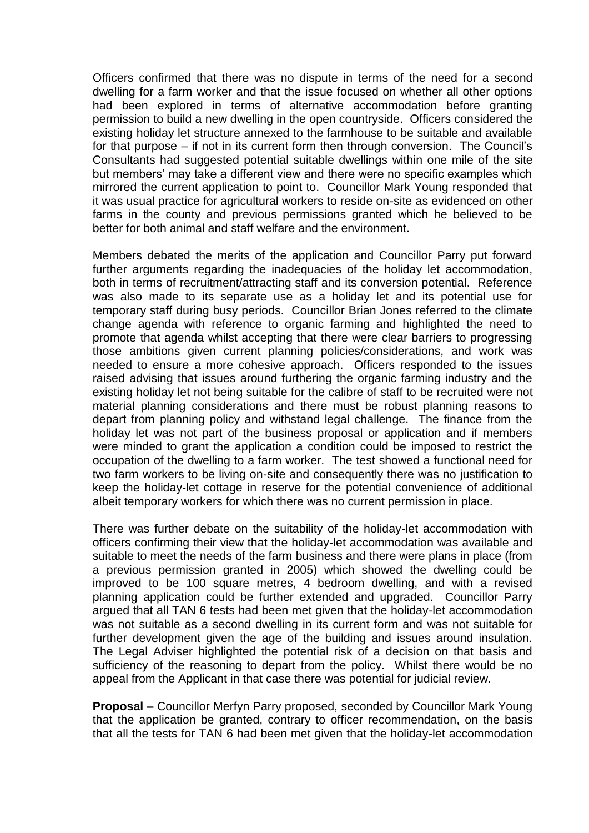Officers confirmed that there was no dispute in terms of the need for a second dwelling for a farm worker and that the issue focused on whether all other options had been explored in terms of alternative accommodation before granting permission to build a new dwelling in the open countryside. Officers considered the existing holiday let structure annexed to the farmhouse to be suitable and available for that purpose – if not in its current form then through conversion. The Council's Consultants had suggested potential suitable dwellings within one mile of the site but members' may take a different view and there were no specific examples which mirrored the current application to point to. Councillor Mark Young responded that it was usual practice for agricultural workers to reside on-site as evidenced on other farms in the county and previous permissions granted which he believed to be better for both animal and staff welfare and the environment.

Members debated the merits of the application and Councillor Parry put forward further arguments regarding the inadequacies of the holiday let accommodation, both in terms of recruitment/attracting staff and its conversion potential. Reference was also made to its separate use as a holiday let and its potential use for temporary staff during busy periods. Councillor Brian Jones referred to the climate change agenda with reference to organic farming and highlighted the need to promote that agenda whilst accepting that there were clear barriers to progressing those ambitions given current planning policies/considerations, and work was needed to ensure a more cohesive approach. Officers responded to the issues raised advising that issues around furthering the organic farming industry and the existing holiday let not being suitable for the calibre of staff to be recruited were not material planning considerations and there must be robust planning reasons to depart from planning policy and withstand legal challenge. The finance from the holiday let was not part of the business proposal or application and if members were minded to grant the application a condition could be imposed to restrict the occupation of the dwelling to a farm worker. The test showed a functional need for two farm workers to be living on-site and consequently there was no justification to keep the holiday-let cottage in reserve for the potential convenience of additional albeit temporary workers for which there was no current permission in place.

There was further debate on the suitability of the holiday-let accommodation with officers confirming their view that the holiday-let accommodation was available and suitable to meet the needs of the farm business and there were plans in place (from a previous permission granted in 2005) which showed the dwelling could be improved to be 100 square metres, 4 bedroom dwelling, and with a revised planning application could be further extended and upgraded. Councillor Parry argued that all TAN 6 tests had been met given that the holiday-let accommodation was not suitable as a second dwelling in its current form and was not suitable for further development given the age of the building and issues around insulation. The Legal Adviser highlighted the potential risk of a decision on that basis and sufficiency of the reasoning to depart from the policy. Whilst there would be no appeal from the Applicant in that case there was potential for judicial review.

**Proposal –** Councillor Merfyn Parry proposed, seconded by Councillor Mark Young that the application be granted, contrary to officer recommendation, on the basis that all the tests for TAN 6 had been met given that the holiday-let accommodation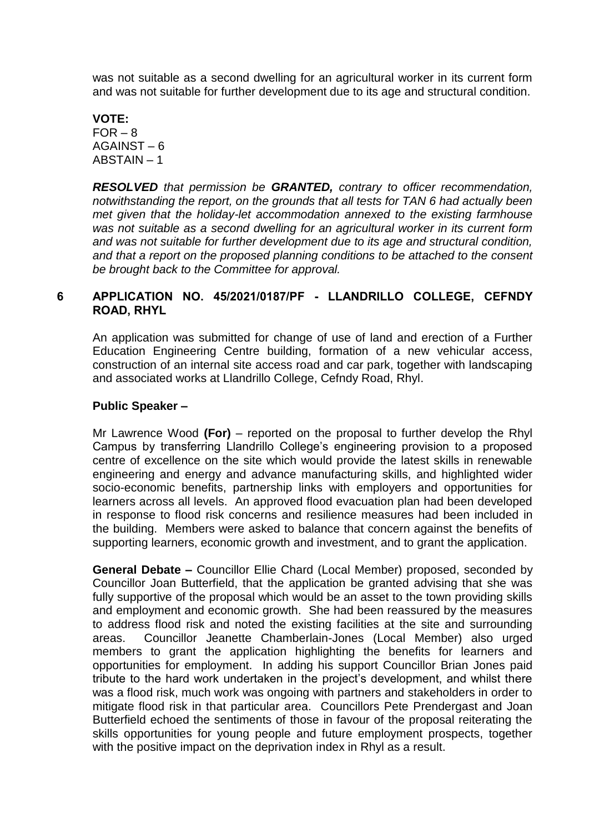was not suitable as a second dwelling for an agricultural worker in its current form and was not suitable for further development due to its age and structural condition.

## **VOTE:**  $FOR - 8$ AGAINST – 6 ABSTAIN – 1

*RESOLVED that permission be GRANTED, contrary to officer recommendation, notwithstanding the report, on the grounds that all tests for TAN 6 had actually been met given that the holiday-let accommodation annexed to the existing farmhouse was not suitable as a second dwelling for an agricultural worker in its current form and was not suitable for further development due to its age and structural condition, and that a report on the proposed planning conditions to be attached to the consent be brought back to the Committee for approval.*

# **6 APPLICATION NO. 45/2021/0187/PF - LLANDRILLO COLLEGE, CEFNDY ROAD, RHYL**

An application was submitted for change of use of land and erection of a Further Education Engineering Centre building, formation of a new vehicular access, construction of an internal site access road and car park, together with landscaping and associated works at Llandrillo College, Cefndy Road, Rhyl.

# **Public Speaker –**

Mr Lawrence Wood **(For)** – reported on the proposal to further develop the Rhyl Campus by transferring Llandrillo College's engineering provision to a proposed centre of excellence on the site which would provide the latest skills in renewable engineering and energy and advance manufacturing skills, and highlighted wider socio-economic benefits, partnership links with employers and opportunities for learners across all levels. An approved flood evacuation plan had been developed in response to flood risk concerns and resilience measures had been included in the building. Members were asked to balance that concern against the benefits of supporting learners, economic growth and investment, and to grant the application.

**General Debate –** Councillor Ellie Chard (Local Member) proposed, seconded by Councillor Joan Butterfield, that the application be granted advising that she was fully supportive of the proposal which would be an asset to the town providing skills and employment and economic growth. She had been reassured by the measures to address flood risk and noted the existing facilities at the site and surrounding areas. Councillor Jeanette Chamberlain-Jones (Local Member) also urged members to grant the application highlighting the benefits for learners and opportunities for employment. In adding his support Councillor Brian Jones paid tribute to the hard work undertaken in the project's development, and whilst there was a flood risk, much work was ongoing with partners and stakeholders in order to mitigate flood risk in that particular area. Councillors Pete Prendergast and Joan Butterfield echoed the sentiments of those in favour of the proposal reiterating the skills opportunities for young people and future employment prospects, together with the positive impact on the deprivation index in Rhyl as a result.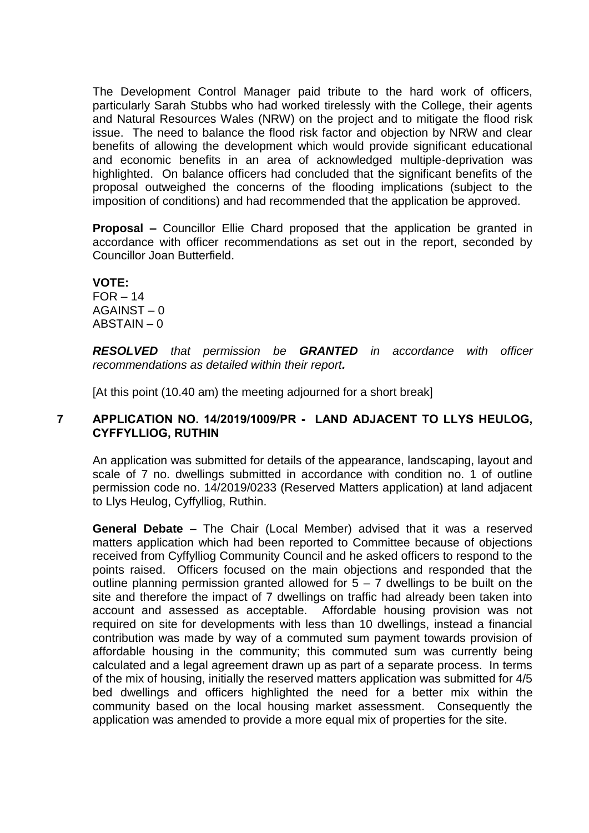The Development Control Manager paid tribute to the hard work of officers, particularly Sarah Stubbs who had worked tirelessly with the College, their agents and Natural Resources Wales (NRW) on the project and to mitigate the flood risk issue. The need to balance the flood risk factor and objection by NRW and clear benefits of allowing the development which would provide significant educational and economic benefits in an area of acknowledged multiple-deprivation was highlighted. On balance officers had concluded that the significant benefits of the proposal outweighed the concerns of the flooding implications (subject to the imposition of conditions) and had recommended that the application be approved.

**Proposal –** Councillor Ellie Chard proposed that the application be granted in accordance with officer recommendations as set out in the report, seconded by Councillor Joan Butterfield.

# **VOTE:**

 $FOR - 14$ AGAINST – 0 ABSTAIN – 0

*RESOLVED that permission be GRANTED in accordance with officer recommendations as detailed within their report.*

[At this point (10.40 am) the meeting adjourned for a short break]

# **7 APPLICATION NO. 14/2019/1009/PR - LAND ADJACENT TO LLYS HEULOG, CYFFYLLIOG, RUTHIN**

An application was submitted for details of the appearance, landscaping, layout and scale of 7 no. dwellings submitted in accordance with condition no. 1 of outline permission code no. 14/2019/0233 (Reserved Matters application) at land adjacent to Llys Heulog, Cyffylliog, Ruthin.

**General Debate** – The Chair (Local Member) advised that it was a reserved matters application which had been reported to Committee because of objections received from Cyffylliog Community Council and he asked officers to respond to the points raised. Officers focused on the main objections and responded that the outline planning permission granted allowed for  $5 - 7$  dwellings to be built on the site and therefore the impact of 7 dwellings on traffic had already been taken into account and assessed as acceptable. Affordable housing provision was not required on site for developments with less than 10 dwellings, instead a financial contribution was made by way of a commuted sum payment towards provision of affordable housing in the community; this commuted sum was currently being calculated and a legal agreement drawn up as part of a separate process. In terms of the mix of housing, initially the reserved matters application was submitted for 4/5 bed dwellings and officers highlighted the need for a better mix within the community based on the local housing market assessment. Consequently the application was amended to provide a more equal mix of properties for the site.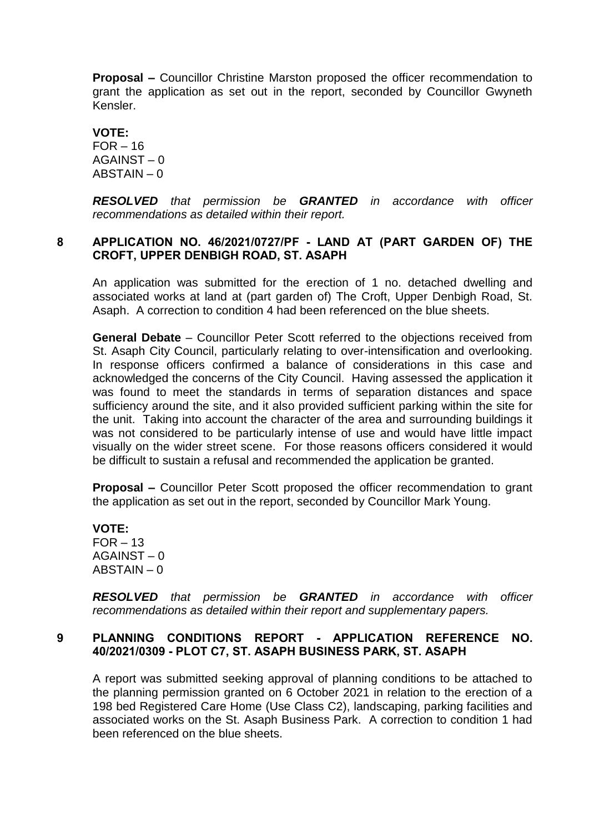**Proposal –** Councillor Christine Marston proposed the officer recommendation to grant the application as set out in the report, seconded by Councillor Gwyneth Kensler.

**VOTE:**  $FOR - 16$ AGAINST – 0 ABSTAIN – 0

*RESOLVED that permission be GRANTED in accordance with officer recommendations as detailed within their report.*

## **8 APPLICATION NO. 46/2021/0727/PF - LAND AT (PART GARDEN OF) THE CROFT, UPPER DENBIGH ROAD, ST. ASAPH**

An application was submitted for the erection of 1 no. detached dwelling and associated works at land at (part garden of) The Croft, Upper Denbigh Road, St. Asaph. A correction to condition 4 had been referenced on the blue sheets.

**General Debate** – Councillor Peter Scott referred to the objections received from St. Asaph City Council, particularly relating to over-intensification and overlooking. In response officers confirmed a balance of considerations in this case and acknowledged the concerns of the City Council. Having assessed the application it was found to meet the standards in terms of separation distances and space sufficiency around the site, and it also provided sufficient parking within the site for the unit. Taking into account the character of the area and surrounding buildings it was not considered to be particularly intense of use and would have little impact visually on the wider street scene. For those reasons officers considered it would be difficult to sustain a refusal and recommended the application be granted.

**Proposal –** Councillor Peter Scott proposed the officer recommendation to grant the application as set out in the report, seconded by Councillor Mark Young.

**VOTE:**  $FOR - 13$ AGAINST – 0 ABSTAIN – 0

*RESOLVED that permission be GRANTED in accordance with officer recommendations as detailed within their report and supplementary papers.*

## **9 PLANNING CONDITIONS REPORT - APPLICATION REFERENCE NO. 40/2021/0309 - PLOT C7, ST. ASAPH BUSINESS PARK, ST. ASAPH**

A report was submitted seeking approval of planning conditions to be attached to the planning permission granted on 6 October 2021 in relation to the erection of a 198 bed Registered Care Home (Use Class C2), landscaping, parking facilities and associated works on the St. Asaph Business Park. A correction to condition 1 had been referenced on the blue sheets.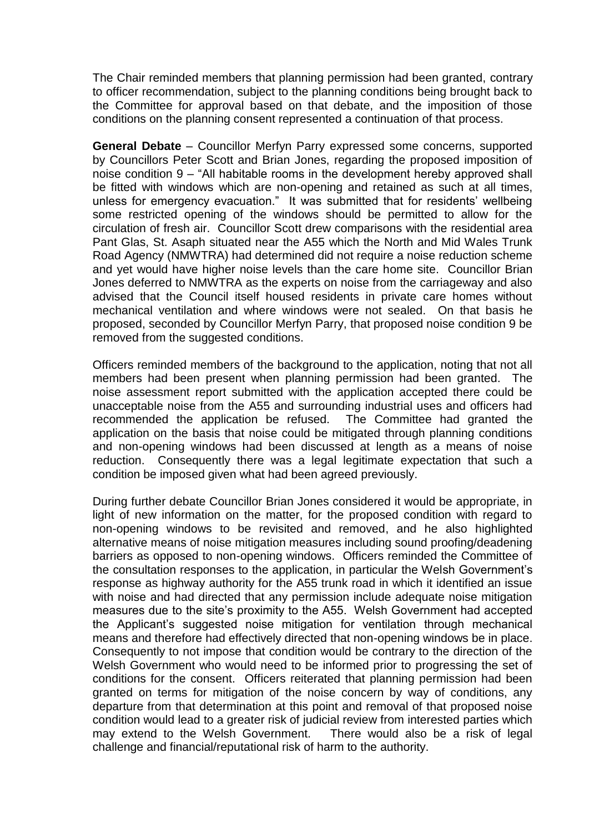The Chair reminded members that planning permission had been granted, contrary to officer recommendation, subject to the planning conditions being brought back to the Committee for approval based on that debate, and the imposition of those conditions on the planning consent represented a continuation of that process.

**General Debate** – Councillor Merfyn Parry expressed some concerns, supported by Councillors Peter Scott and Brian Jones, regarding the proposed imposition of noise condition 9 – "All habitable rooms in the development hereby approved shall be fitted with windows which are non-opening and retained as such at all times, unless for emergency evacuation." It was submitted that for residents' wellbeing some restricted opening of the windows should be permitted to allow for the circulation of fresh air. Councillor Scott drew comparisons with the residential area Pant Glas, St. Asaph situated near the A55 which the North and Mid Wales Trunk Road Agency (NMWTRA) had determined did not require a noise reduction scheme and yet would have higher noise levels than the care home site. Councillor Brian Jones deferred to NMWTRA as the experts on noise from the carriageway and also advised that the Council itself housed residents in private care homes without mechanical ventilation and where windows were not sealed. On that basis he proposed, seconded by Councillor Merfyn Parry, that proposed noise condition 9 be removed from the suggested conditions.

Officers reminded members of the background to the application, noting that not all members had been present when planning permission had been granted. The noise assessment report submitted with the application accepted there could be unacceptable noise from the A55 and surrounding industrial uses and officers had recommended the application be refused. The Committee had granted the application on the basis that noise could be mitigated through planning conditions and non-opening windows had been discussed at length as a means of noise reduction. Consequently there was a legal legitimate expectation that such a condition be imposed given what had been agreed previously.

During further debate Councillor Brian Jones considered it would be appropriate, in light of new information on the matter, for the proposed condition with regard to non-opening windows to be revisited and removed, and he also highlighted alternative means of noise mitigation measures including sound proofing/deadening barriers as opposed to non-opening windows. Officers reminded the Committee of the consultation responses to the application, in particular the Welsh Government's response as highway authority for the A55 trunk road in which it identified an issue with noise and had directed that any permission include adequate noise mitigation measures due to the site's proximity to the A55. Welsh Government had accepted the Applicant's suggested noise mitigation for ventilation through mechanical means and therefore had effectively directed that non-opening windows be in place. Consequently to not impose that condition would be contrary to the direction of the Welsh Government who would need to be informed prior to progressing the set of conditions for the consent. Officers reiterated that planning permission had been granted on terms for mitigation of the noise concern by way of conditions, any departure from that determination at this point and removal of that proposed noise condition would lead to a greater risk of judicial review from interested parties which may extend to the Welsh Government. There would also be a risk of legal challenge and financial/reputational risk of harm to the authority.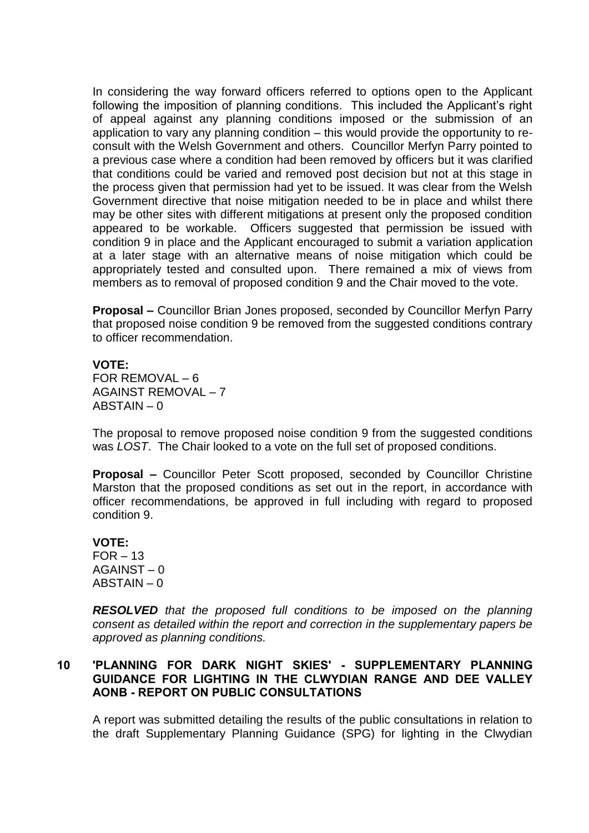In considering the way forward officers referred to options open to the Applicant following the imposition of planning conditions. This included the Applicant's right of appeal against any planning conditions imposed or the submission of an application to vary any planning condition – this would provide the opportunity to reconsult with the Welsh Government and others. Councillor Merfyn Parry pointed to a previous case where a condition had been removed by officers but it was clarified that conditions could be varied and removed post decision but not at this stage in the process given that permission had yet to be issued. It was clear from the Welsh Government directive that noise mitigation needed to be in place and whilst there may be other sites with different mitigations at present only the proposed condition appeared to be workable. Officers suggested that permission be issued with condition 9 in place and the Applicant encouraged to submit a variation application at a later stage with an alternative means of noise mitigation which could be appropriately tested and consulted upon. There remained a mix of views from members as to removal of proposed condition 9 and the Chair moved to the vote.

**Proposal –** Councillor Brian Jones proposed, seconded by Councillor Merfyn Parry that proposed noise condition 9 be removed from the suggested conditions contrary to officer recommendation.

#### **VOTE:**

FOR REMOVAL – 6 AGAINST REMOVAL – 7 ABSTAIN – 0

The proposal to remove proposed noise condition 9 from the suggested conditions was *LOST*. The Chair looked to a vote on the full set of proposed conditions.

**Proposal –** Councillor Peter Scott proposed, seconded by Councillor Christine Marston that the proposed conditions as set out in the report, in accordance with officer recommendations, be approved in full including with regard to proposed condition 9.

#### **VOTE:**

 $FOR - 13$ AGAINST – 0  $ABSTAIN - 0$ 

*RESOLVED that the proposed full conditions to be imposed on the planning consent as detailed within the report and correction in the supplementary papers be approved as planning conditions.*

## **10 'PLANNING FOR DARK NIGHT SKIES' - SUPPLEMENTARY PLANNING GUIDANCE FOR LIGHTING IN THE CLWYDIAN RANGE AND DEE VALLEY AONB - REPORT ON PUBLIC CONSULTATIONS**

A report was submitted detailing the results of the public consultations in relation to the draft Supplementary Planning Guidance (SPG) for lighting in the Clwydian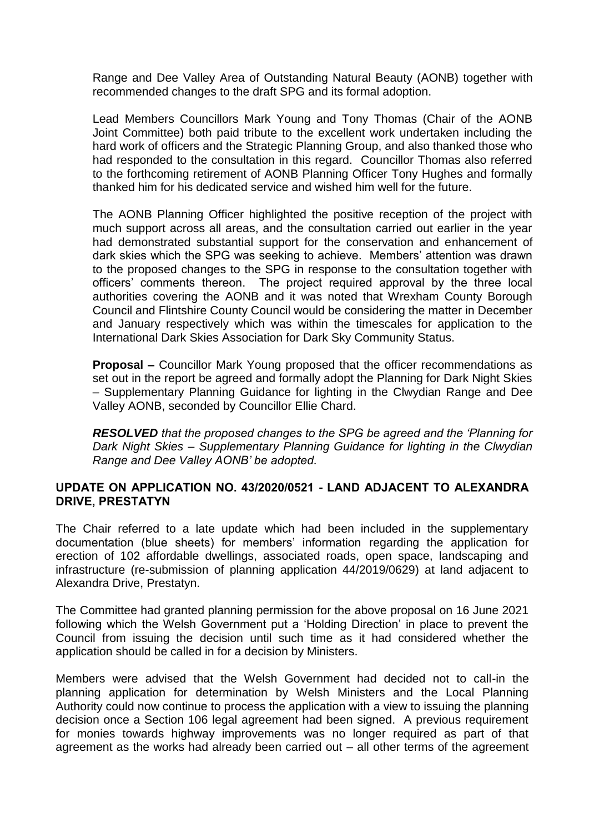Range and Dee Valley Area of Outstanding Natural Beauty (AONB) together with recommended changes to the draft SPG and its formal adoption.

Lead Members Councillors Mark Young and Tony Thomas (Chair of the AONB Joint Committee) both paid tribute to the excellent work undertaken including the hard work of officers and the Strategic Planning Group, and also thanked those who had responded to the consultation in this regard. Councillor Thomas also referred to the forthcoming retirement of AONB Planning Officer Tony Hughes and formally thanked him for his dedicated service and wished him well for the future.

The AONB Planning Officer highlighted the positive reception of the project with much support across all areas, and the consultation carried out earlier in the year had demonstrated substantial support for the conservation and enhancement of dark skies which the SPG was seeking to achieve. Members' attention was drawn to the proposed changes to the SPG in response to the consultation together with officers' comments thereon. The project required approval by the three local authorities covering the AONB and it was noted that Wrexham County Borough Council and Flintshire County Council would be considering the matter in December and January respectively which was within the timescales for application to the International Dark Skies Association for Dark Sky Community Status.

**Proposal –** Councillor Mark Young proposed that the officer recommendations as set out in the report be agreed and formally adopt the Planning for Dark Night Skies – Supplementary Planning Guidance for lighting in the Clwydian Range and Dee Valley AONB, seconded by Councillor Ellie Chard.

*RESOLVED that the proposed changes to the SPG be agreed and the 'Planning for Dark Night Skies – Supplementary Planning Guidance for lighting in the Clwydian Range and Dee Valley AONB' be adopted.*

# **UPDATE ON APPLICATION NO. 43/2020/0521 - LAND ADJACENT TO ALEXANDRA DRIVE, PRESTATYN**

The Chair referred to a late update which had been included in the supplementary documentation (blue sheets) for members' information regarding the application for erection of 102 affordable dwellings, associated roads, open space, landscaping and infrastructure (re-submission of planning application 44/2019/0629) at land adjacent to Alexandra Drive, Prestatyn.

The Committee had granted planning permission for the above proposal on 16 June 2021 following which the Welsh Government put a 'Holding Direction' in place to prevent the Council from issuing the decision until such time as it had considered whether the application should be called in for a decision by Ministers.

Members were advised that the Welsh Government had decided not to call-in the planning application for determination by Welsh Ministers and the Local Planning Authority could now continue to process the application with a view to issuing the planning decision once a Section 106 legal agreement had been signed. A previous requirement for monies towards highway improvements was no longer required as part of that agreement as the works had already been carried out – all other terms of the agreement